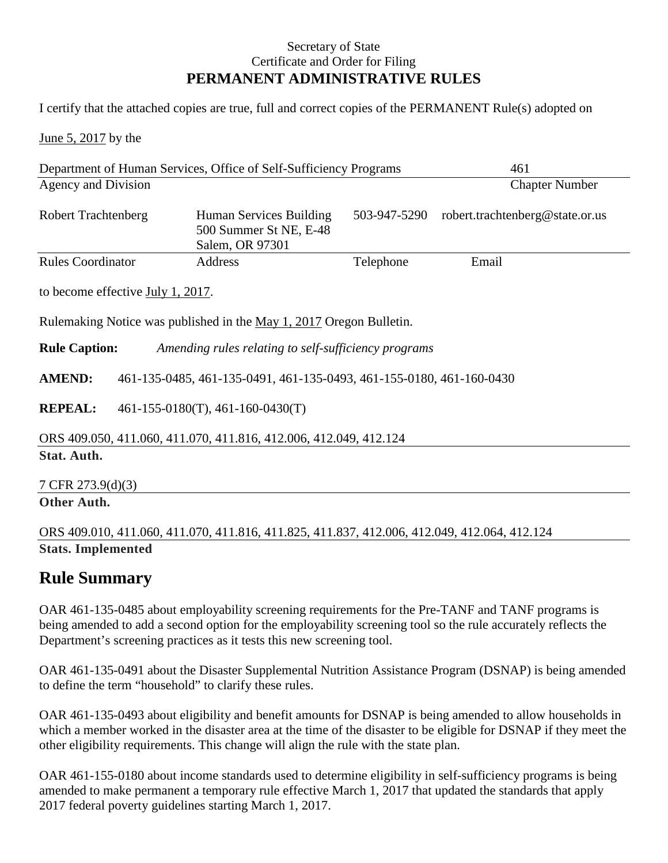### Secretary of State Certificate and Order for Filing **PERMANENT ADMINISTRATIVE RULES**

I certify that the attached copies are true, full and correct copies of the PERMANENT Rule(s) adopted on

June 5, 2017 by the

| Department of Human Services, Office of Self-Sufficiency Programs                     |                                                                                              | 461          |                                 |
|---------------------------------------------------------------------------------------|----------------------------------------------------------------------------------------------|--------------|---------------------------------|
| Agency and Division                                                                   |                                                                                              |              | <b>Chapter Number</b>           |
| <b>Robert Trachtenberg</b>                                                            | Human Services Building<br>500 Summer St NE, E-48<br>Salem, OR 97301                         | 503-947-5290 | robert.trachtenberg@state.or.us |
| <b>Rules Coordinator</b>                                                              | Address                                                                                      | Telephone    | Email                           |
| to become effective July 1, 2017.                                                     |                                                                                              |              |                                 |
|                                                                                       | Rulemaking Notice was published in the May 1, 2017 Oregon Bulletin.                          |              |                                 |
| <b>Rule Caption:</b><br>Amending rules relating to self-sufficiency programs          |                                                                                              |              |                                 |
| <b>AMEND:</b><br>461-135-0485, 461-135-0491, 461-135-0493, 461-155-0180, 461-160-0430 |                                                                                              |              |                                 |
| <b>REPEAL:</b><br>$461-155-0180(T)$ , $461-160-0430(T)$                               |                                                                                              |              |                                 |
|                                                                                       | ORS 409.050, 411.060, 411.070, 411.816, 412.006, 412.049, 412.124                            |              |                                 |
| Stat. Auth.                                                                           |                                                                                              |              |                                 |
| 7 CFR 273.9(d)(3)                                                                     |                                                                                              |              |                                 |
| Other Auth.                                                                           |                                                                                              |              |                                 |
|                                                                                       | ORS 409.010, 411.060, 411.070, 411.816, 411.825, 411.837, 412.006, 412.049, 412.064, 412.124 |              |                                 |

# **Stats. Implemented**

# **Rule Summary**

OAR 461-135-0485 about employability screening requirements for the Pre-TANF and TANF programs is being amended to add a second option for the employability screening tool so the rule accurately reflects the Department's screening practices as it tests this new screening tool.

OAR 461-135-0491 about the Disaster Supplemental Nutrition Assistance Program (DSNAP) is being amended to define the term "household" to clarify these rules.

OAR 461-135-0493 about eligibility and benefit amounts for DSNAP is being amended to allow households in which a member worked in the disaster area at the time of the disaster to be eligible for DSNAP if they meet the other eligibility requirements. This change will align the rule with the state plan.

OAR 461-155-0180 about income standards used to determine eligibility in self-sufficiency programs is being amended to make permanent a temporary rule effective March 1, 2017 that updated the standards that apply 2017 federal poverty guidelines starting March 1, 2017.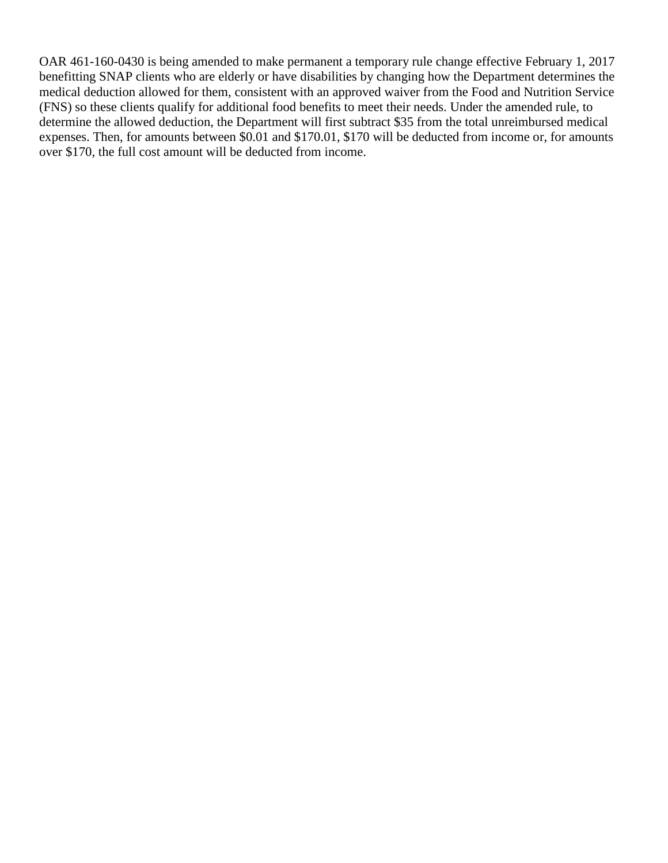OAR 461-160-0430 is being amended to make permanent a temporary rule change effective February 1, 2017 benefitting SNAP clients who are elderly or have disabilities by changing how the Department determines the medical deduction allowed for them, consistent with an approved waiver from the Food and Nutrition Service (FNS) so these clients qualify for additional food benefits to meet their needs. Under the amended rule, to determine the allowed deduction, the Department will first subtract \$35 from the total unreimbursed medical expenses. Then, for amounts between \$0.01 and \$170.01, \$170 will be deducted from income or, for amounts over \$170, the full cost amount will be deducted from income.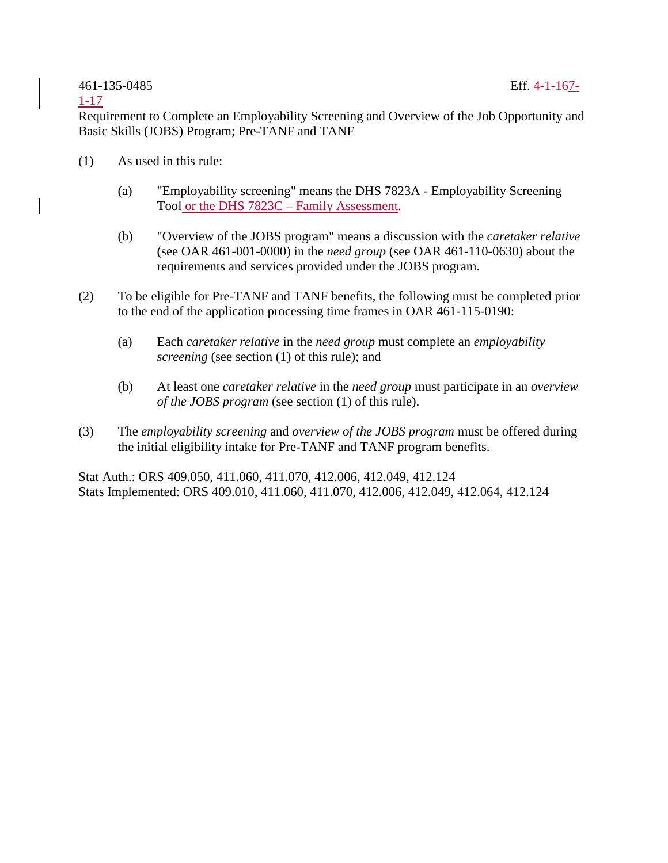### 461-135-0485 Eff. 4-1-167-

#### 1-17

Requirement to Complete an Employability Screening and Overview of the Job Opportunity and Basic Skills (JOBS) Program; Pre-TANF and TANF

- (1) As used in this rule:
	- (a) "Employability screening" means the DHS 7823A Employability Screening Tool or the DHS 7823C – Family Assessment.
	- (b) "Overview of the JOBS program" means a discussion with the *caretaker relative* (see OAR 461-001-0000) in the *need group* (see OAR 461-110-0630) about the requirements and services provided under the JOBS program.
- (2) To be eligible for Pre-TANF and TANF benefits, the following must be completed prior to the end of the application processing time frames in OAR 461-115-0190:
	- (a) Each *caretaker relative* in the *need group* must complete an *employability screening* (see section (1) of this rule); and
	- (b) At least one *caretaker relative* in the *need group* must participate in an *overview of the JOBS program* (see section (1) of this rule).
- (3) The *employability screening* and *overview of the JOBS program* must be offered during the initial eligibility intake for Pre-TANF and TANF program benefits.

Stat Auth.: ORS 409.050, 411.060, 411.070, 412.006, 412.049, 412.124 Stats Implemented: ORS 409.010, 411.060, 411.070, 412.006, 412.049, 412.064, 412.124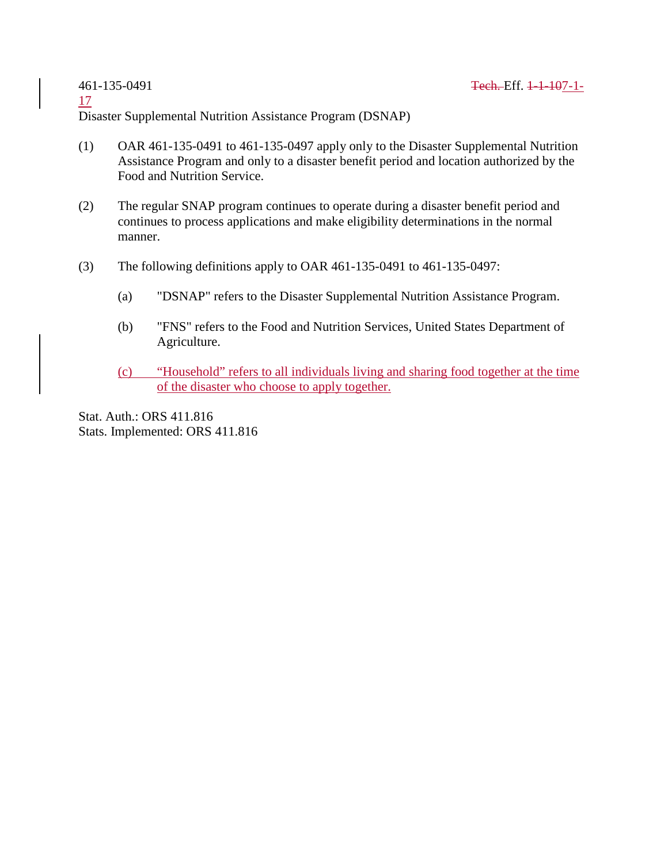17

Disaster Supplemental Nutrition Assistance Program (DSNAP)

- (1) OAR 461-135-0491 to 461-135-0497 apply only to the Disaster Supplemental Nutrition Assistance Program and only to a disaster benefit period and location authorized by the Food and Nutrition Service.
- (2) The regular SNAP program continues to operate during a disaster benefit period and continues to process applications and make eligibility determinations in the normal manner.
- (3) The following definitions apply to OAR 461-135-0491 to 461-135-0497:
	- (a) "DSNAP" refers to the Disaster Supplemental Nutrition Assistance Program.
	- (b) "FNS" refers to the Food and Nutrition Services, United States Department of Agriculture.
	- (c) "Household" refers to all individuals living and sharing food together at the time of the disaster who choose to apply together.

Stat. Auth.: ORS 411.816 Stats. Implemented: ORS 411.816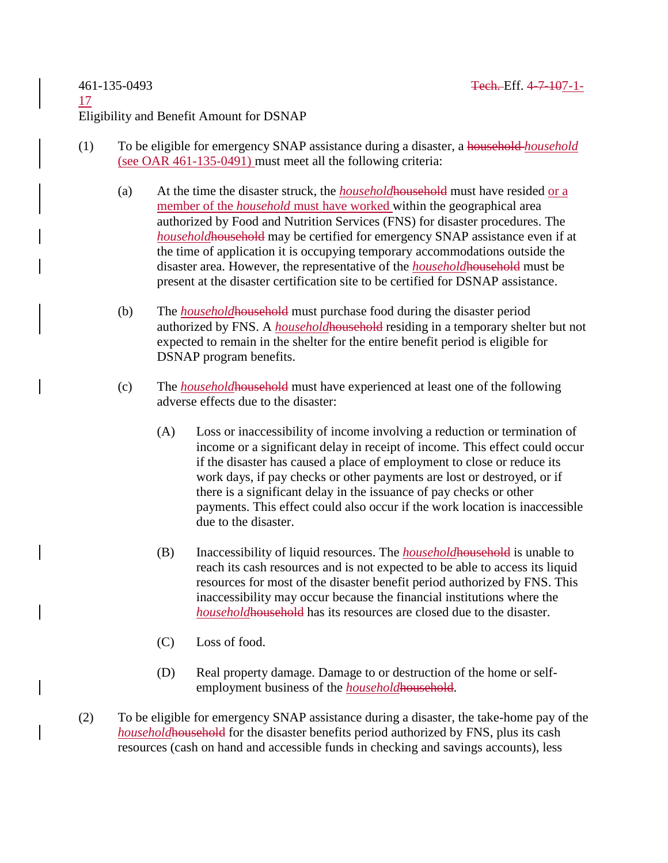# 17

## Eligibility and Benefit Amount for DSNAP

- (1) To be eligible for emergency SNAP assistance during a disaster, a household *household* (see OAR 461-135-0491) must meet all the following criteria:
	- (a) At the time the disaster struck, the *household*household must have resided or a member of the *household* must have worked within the geographical area authorized by Food and Nutrition Services (FNS) for disaster procedures. The *household*household may be certified for emergency SNAP assistance even if at the time of application it is occupying temporary accommodations outside the disaster area. However, the representative of the *household*household must be present at the disaster certification site to be certified for DSNAP assistance.
	- (b) The *household*household must purchase food during the disaster period authorized by FNS. A *household* residing in a temporary shelter but not expected to remain in the shelter for the entire benefit period is eligible for DSNAP program benefits.
	- (c) The *household*household must have experienced at least one of the following adverse effects due to the disaster:
		- (A) Loss or inaccessibility of income involving a reduction or termination of income or a significant delay in receipt of income. This effect could occur if the disaster has caused a place of employment to close or reduce its work days, if pay checks or other payments are lost or destroyed, or if there is a significant delay in the issuance of pay checks or other payments. This effect could also occur if the work location is inaccessible due to the disaster.
		- (B) Inaccessibility of liquid resources. The *household*household is unable to reach its cash resources and is not expected to be able to access its liquid resources for most of the disaster benefit period authorized by FNS. This inaccessibility may occur because the financial institutions where the *household*household has its resources are closed due to the disaster.
		- (C) Loss of food.
		- (D) Real property damage. Damage to or destruction of the home or selfemployment business of the *household*household.
- (2) To be eligible for emergency SNAP assistance during a disaster, the take-home pay of the *household*household for the disaster benefits period authorized by FNS, plus its cash resources (cash on hand and accessible funds in checking and savings accounts), less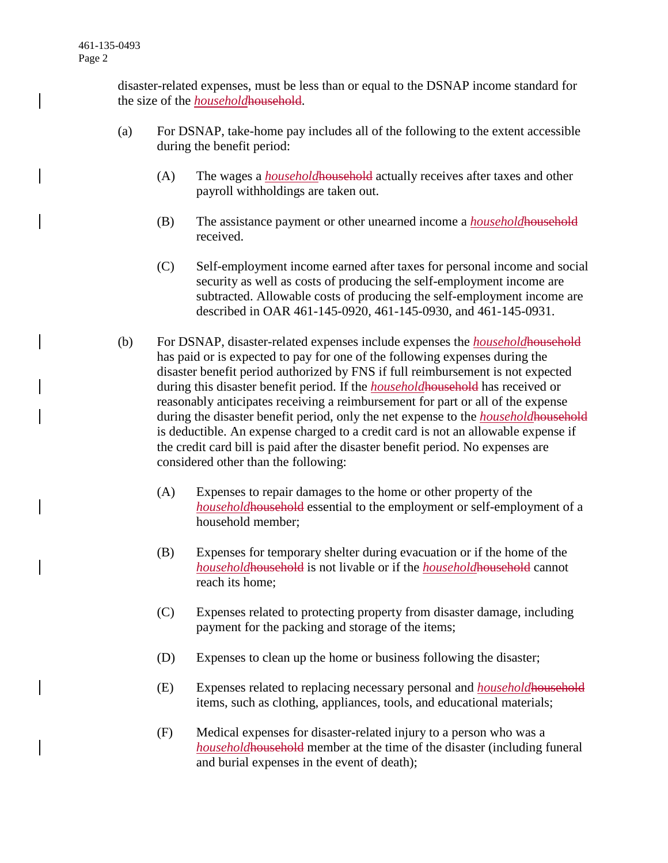disaster-related expenses, must be less than or equal to the DSNAP income standard for the size of the *household*household.

- (a) For DSNAP, take-home pay includes all of the following to the extent accessible during the benefit period:
	- (A) The wages a *household*household actually receives after taxes and other payroll withholdings are taken out.
	- (B) The assistance payment or other unearned income a *household*household received.
	- (C) Self-employment income earned after taxes for personal income and social security as well as costs of producing the self-employment income are subtracted. Allowable costs of producing the self-employment income are described in OAR 461-145-0920, 461-145-0930, and 461-145-0931.
- (b) For DSNAP, disaster-related expenses include expenses the *household*household has paid or is expected to pay for one of the following expenses during the disaster benefit period authorized by FNS if full reimbursement is not expected during this disaster benefit period. If the *household*household has received or reasonably anticipates receiving a reimbursement for part or all of the expense during the disaster benefit period, only the net expense to the *household*household is deductible. An expense charged to a credit card is not an allowable expense if the credit card bill is paid after the disaster benefit period. No expenses are considered other than the following:
	- (A) Expenses to repair damages to the home or other property of the *household*household essential to the employment or self-employment of a household member;
	- (B) Expenses for temporary shelter during evacuation or if the home of the *household*household is not livable or if the *household*household cannot reach its home;
	- (C) Expenses related to protecting property from disaster damage, including payment for the packing and storage of the items;
	- (D) Expenses to clean up the home or business following the disaster;
	- (E) Expenses related to replacing necessary personal and *household*household items, such as clothing, appliances, tools, and educational materials;
	- (F) Medical expenses for disaster-related injury to a person who was a *household*household member at the time of the disaster (including funeral and burial expenses in the event of death);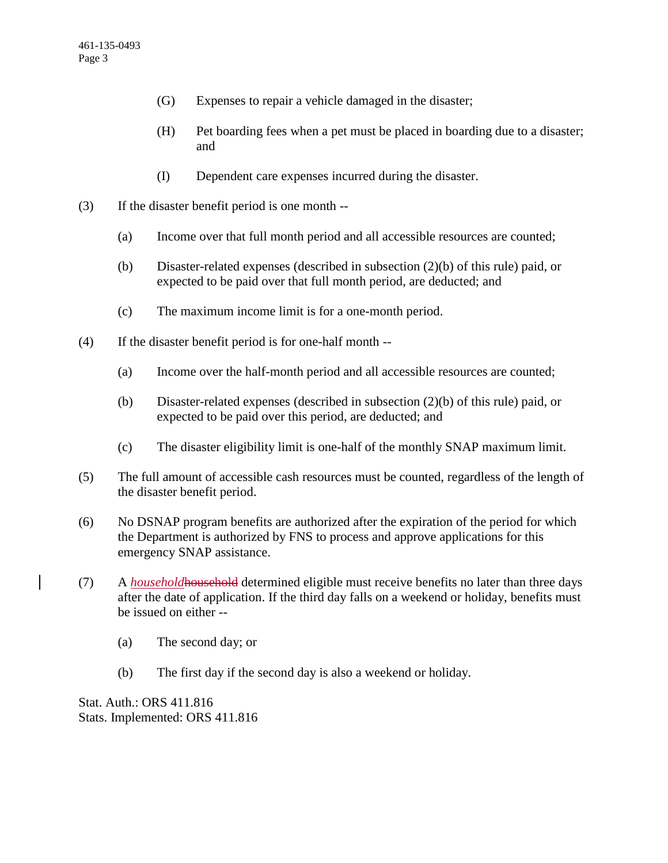- (G) Expenses to repair a vehicle damaged in the disaster;
- (H) Pet boarding fees when a pet must be placed in boarding due to a disaster; and
- (I) Dependent care expenses incurred during the disaster.
- (3) If the disaster benefit period is one month --
	- (a) Income over that full month period and all accessible resources are counted;
	- (b) Disaster-related expenses (described in subsection (2)(b) of this rule) paid, or expected to be paid over that full month period, are deducted; and
	- (c) The maximum income limit is for a one-month period.
- (4) If the disaster benefit period is for one-half month --
	- (a) Income over the half-month period and all accessible resources are counted;
	- (b) Disaster-related expenses (described in subsection (2)(b) of this rule) paid, or expected to be paid over this period, are deducted; and
	- (c) The disaster eligibility limit is one-half of the monthly SNAP maximum limit.
- (5) The full amount of accessible cash resources must be counted, regardless of the length of the disaster benefit period.
- (6) No DSNAP program benefits are authorized after the expiration of the period for which the Department is authorized by FNS to process and approve applications for this emergency SNAP assistance.
- (7) A *household*household determined eligible must receive benefits no later than three days after the date of application. If the third day falls on a weekend or holiday, benefits must be issued on either --
	- (a) The second day; or
	- (b) The first day if the second day is also a weekend or holiday.

Stat. Auth.: ORS 411.816 Stats. Implemented: ORS 411.816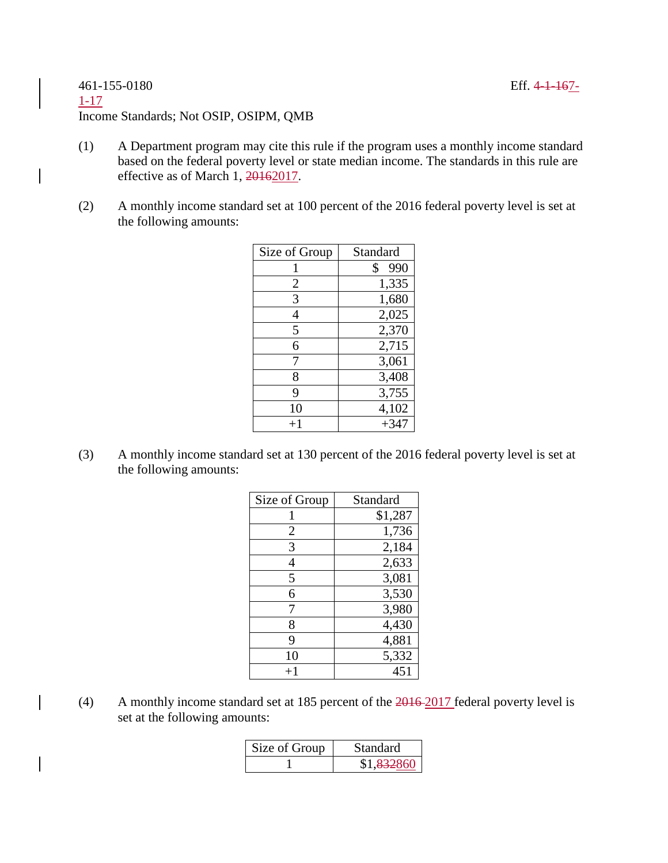#### 461-155-0180 Eff. 4-1-167-  $1 - 17$ Income Standards; Not OSIP, OSIPM, QMB

- (1) A Department program may cite this rule if the program uses a monthly income standard based on the federal poverty level or state median income. The standards in this rule are effective as of March 1, 20162017.
- (2) A monthly income standard set at 100 percent of the 2016 federal poverty level is set at the following amounts:

| Size of Group  | Standard  |
|----------------|-----------|
| 1              | \$<br>990 |
| $\overline{2}$ | 1,335     |
| 3              | 1,680     |
| 4              | 2,025     |
| 5              | 2,370     |
| 6              | 2,715     |
| 7              | 3,061     |
| 8              | 3,408     |
| 9              | 3,755     |
| 10             | 4,102     |
| $+1$           | $+347$    |

(3) A monthly income standard set at 130 percent of the 2016 federal poverty level is set at the following amounts:

| Size of Group | Standard |
|---------------|----------|
|               | \$1,287  |
| 2             | 1,736    |
| 3             | 2,184    |
| 4             | 2,633    |
| 5             | 3,081    |
| 6             | 3,530    |
| 7             | 3,980    |
| 8             | 4,430    |
| 9             | 4,881    |
| 10            | 5,332    |
| $+1$          | 451      |

(4) A monthly income standard set at 185 percent of the 2016 2017 federal poverty level is set at the following amounts:

| Size of Group | Standard   |
|---------------|------------|
|               | \$1,832860 |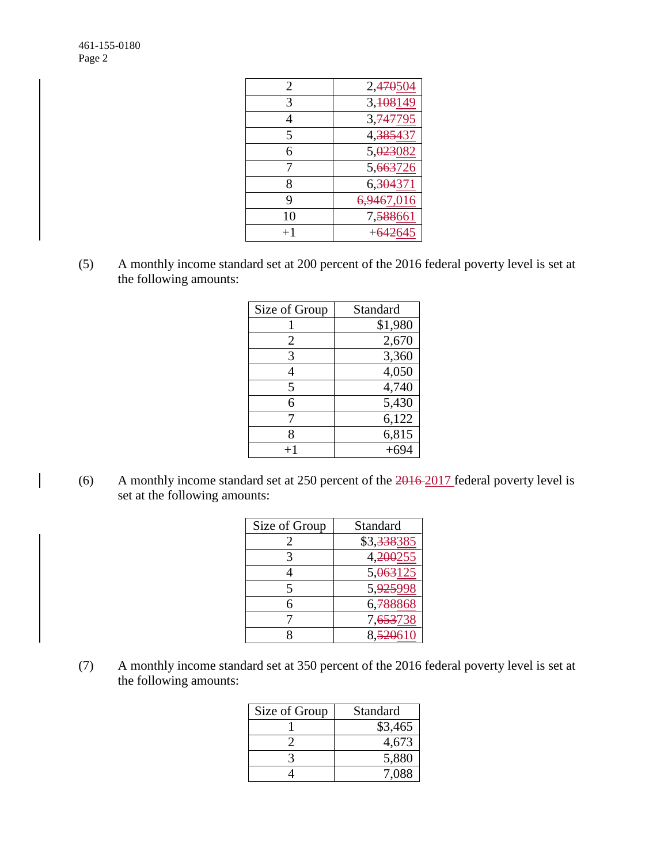| 2    | 2,470504               |
|------|------------------------|
| 3    | 3, 108149              |
| 4    | 3, 747795              |
| 5    | 4, <del>385</del> 437  |
| 6    | 5,023082               |
|      | 5,663726               |
| 8    | 6, 304371              |
| 9    | <del>6,946</del> 7,016 |
| 10   | 7, <del>588</del> 661  |
| $+1$ | $+642645$              |

(5) A monthly income standard set at 200 percent of the 2016 federal poverty level is set at the following amounts:

| Size of Group  | Standard |
|----------------|----------|
|                | \$1,980  |
| $\overline{2}$ | 2,670    |
| 3              | 3,360    |
|                | 4,050    |
| 5              | 4,740    |
| 6              | 5,430    |
|                | 6,122    |
| 8              | 6,815    |
| $+1$           | $+694$   |

(6) A monthly income standard set at 250 percent of the 2016 2017 federal poverty level is set at the following amounts:

| Size of Group | Standard                |
|---------------|-------------------------|
| $\mathcal{L}$ | \$3, <del>338</del> 385 |
| 3             | 4,200255                |
|               | 5,063125                |
| 5             | 5,925998                |
| 6             | 6,788868                |
|               | 7, <del>653</del> 738   |
|               | 8. <del>520</del> 610   |

(7) A monthly income standard set at 350 percent of the 2016 federal poverty level is set at the following amounts:

| Size of Group | Standard |
|---------------|----------|
|               | \$3,465  |
|               | 4,673    |
|               | 5,880    |
|               | 7.088    |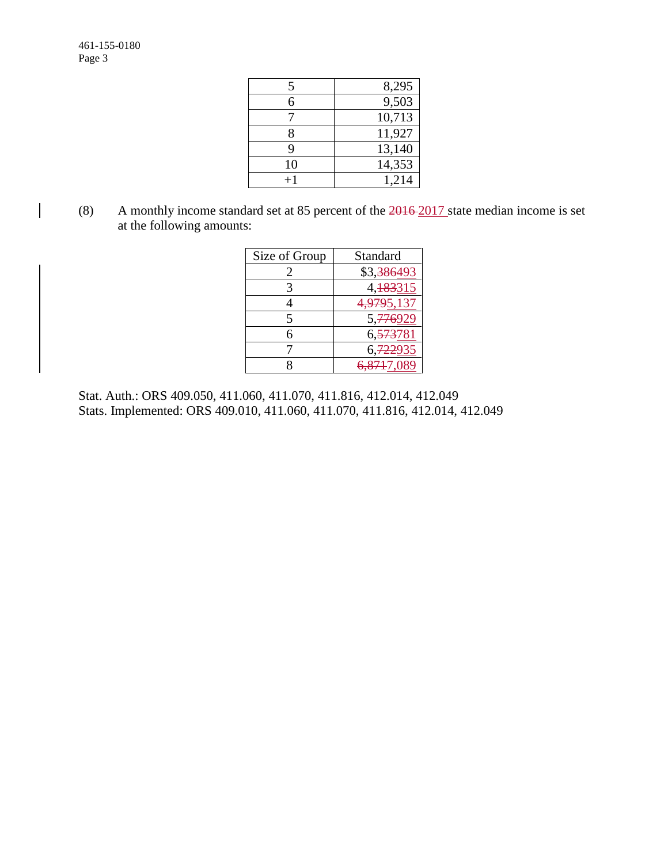461-155-0180 Page 3

| 5    | 8,295  |
|------|--------|
| 6    | 9,503  |
|      | 10,713 |
| 8    | 11,927 |
| 9    | 13,140 |
| 10   | 14,353 |
| $+1$ | 1,214  |

(8) A monthly income standard set at 85 percent of the  $2016 - 2017$  state median income is set at the following amounts:

| Size of Group | Standard                |
|---------------|-------------------------|
|               | \$3, <del>386</del> 493 |
| 3             | 4, <del>183</del> 315   |
|               | <del>4,979</del> 5,137  |
| 5             | 5. <del>776</del> 929   |
| 6             | 6,573781                |
|               | 6. <del>722</del> 935   |
|               | <del>6 871</del> 7.089  |

Stat. Auth.: ORS 409.050, 411.060, 411.070, 411.816, 412.014, 412.049 Stats. Implemented: ORS 409.010, 411.060, 411.070, 411.816, 412.014, 412.049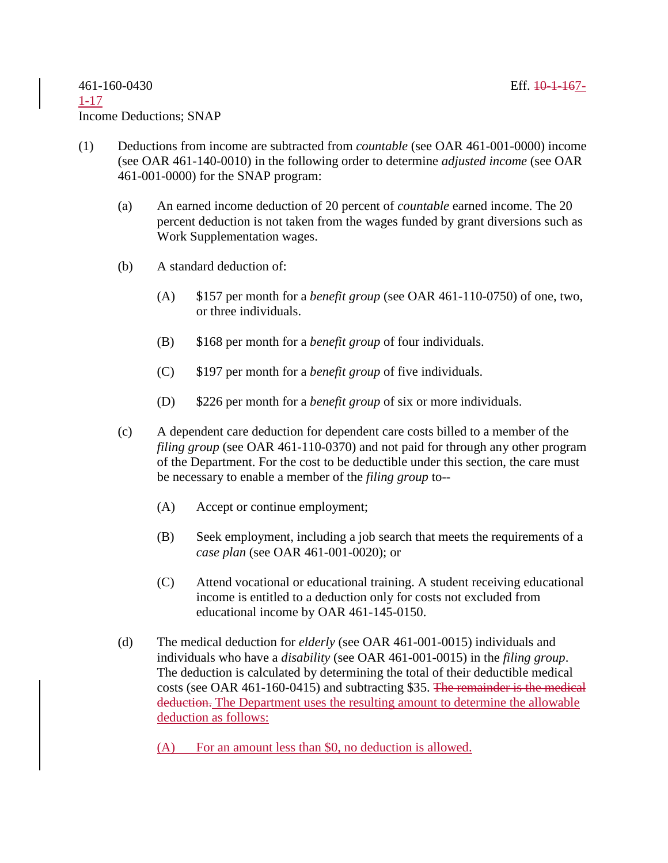- (1) Deductions from income are subtracted from *countable* (see OAR 461-001-0000) income (see OAR 461-140-0010) in the following order to determine *adjusted income* (see OAR 461-001-0000) for the SNAP program:
	- (a) An earned income deduction of 20 percent of *countable* earned income. The 20 percent deduction is not taken from the wages funded by grant diversions such as Work Supplementation wages.
	- (b) A standard deduction of:
		- (A) \$157 per month for a *benefit group* (see OAR 461-110-0750) of one, two, or three individuals.
		- (B) \$168 per month for a *benefit group* of four individuals.
		- (C) \$197 per month for a *benefit group* of five individuals.
		- (D) \$226 per month for a *benefit group* of six or more individuals.
	- (c) A dependent care deduction for dependent care costs billed to a member of the *filing group* (see OAR 461-110-0370) and not paid for through any other program of the Department. For the cost to be deductible under this section, the care must be necessary to enable a member of the *filing group* to--
		- (A) Accept or continue employment;
		- (B) Seek employment, including a job search that meets the requirements of a *case plan* (see OAR 461-001-0020); or
		- (C) Attend vocational or educational training. A student receiving educational income is entitled to a deduction only for costs not excluded from educational income by OAR 461-145-0150.
	- (d) The medical deduction for *elderly* (see OAR 461-001-0015) individuals and individuals who have a *disability* (see OAR 461-001-0015) in the *filing group*. The deduction is calculated by determining the total of their deductible medical costs (see OAR 461-160-0415) and subtracting \$35. The remainder is the medical deduction. The Department uses the resulting amount to determine the allowable deduction as follows:

(A) For an amount less than \$0, no deduction is allowed.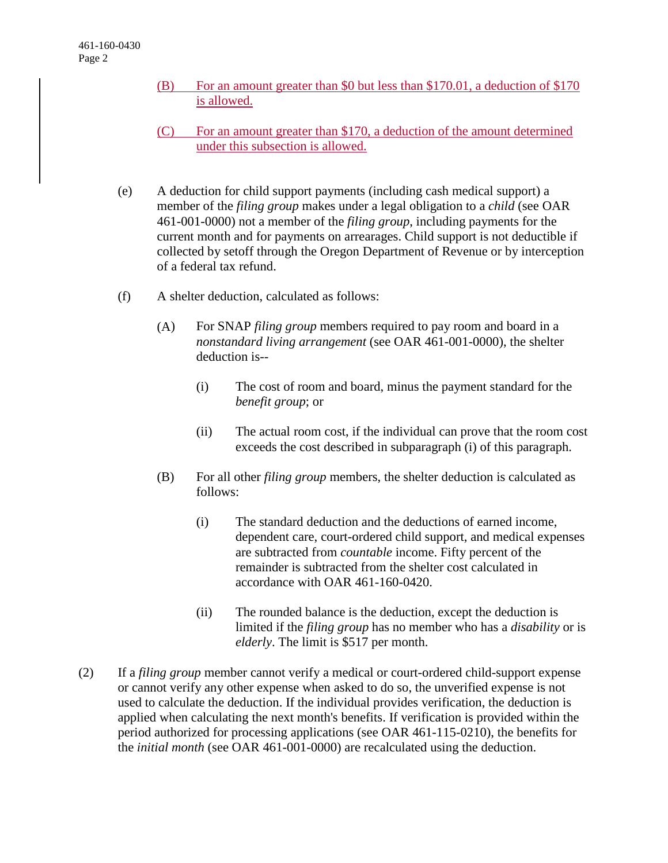- (B) For an amount greater than \$0 but less than \$170.01, a deduction of \$170 is allowed.
- (C) For an amount greater than \$170, a deduction of the amount determined under this subsection is allowed.
- (e) A deduction for child support payments (including cash medical support) a member of the *filing group* makes under a legal obligation to a *child* (see OAR 461-001-0000) not a member of the *filing group*, including payments for the current month and for payments on arrearages. Child support is not deductible if collected by setoff through the Oregon Department of Revenue or by interception of a federal tax refund.
- (f) A shelter deduction, calculated as follows:
	- (A) For SNAP *filing group* members required to pay room and board in a *nonstandard living arrangement* (see OAR 461-001-0000), the shelter deduction is--
		- (i) The cost of room and board, minus the payment standard for the *benefit group*; or
		- (ii) The actual room cost, if the individual can prove that the room cost exceeds the cost described in subparagraph (i) of this paragraph.
	- (B) For all other *filing group* members, the shelter deduction is calculated as follows:
		- (i) The standard deduction and the deductions of earned income, dependent care, court-ordered child support, and medical expenses are subtracted from *countable* income. Fifty percent of the remainder is subtracted from the shelter cost calculated in accordance with OAR 461-160-0420.
		- (ii) The rounded balance is the deduction, except the deduction is limited if the *filing group* has no member who has a *disability* or is *elderly*. The limit is \$517 per month.
- (2) If a *filing group* member cannot verify a medical or court-ordered child-support expense or cannot verify any other expense when asked to do so, the unverified expense is not used to calculate the deduction. If the individual provides verification, the deduction is applied when calculating the next month's benefits. If verification is provided within the period authorized for processing applications (see OAR 461-115-0210), the benefits for the *initial month* (see OAR 461-001-0000) are recalculated using the deduction.